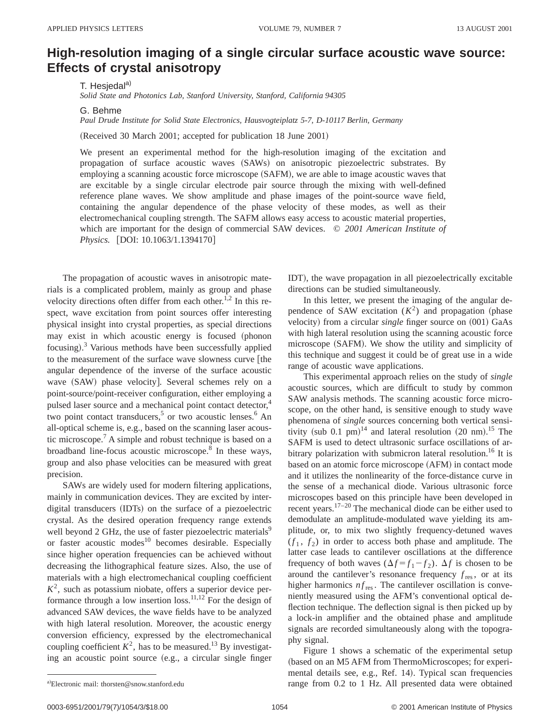## **High-resolution imaging of a single circular surface acoustic wave source: Effects of crystal anisotropy**

T. Hesjedal<sup>a)</sup>

*Solid State and Photonics Lab, Stanford University, Stanford, California 94305*

G. Behme

*Paul Drude Institute for Solid State Electronics, Hausvogteiplatz 5-7, D-10117 Berlin, Germany*

(Received 30 March 2001; accepted for publication 18 June 2001)

We present an experimental method for the high-resolution imaging of the excitation and propagation of surface acoustic waves (SAWs) on anisotropic piezoelectric substrates. By employing a scanning acoustic force microscope (SAFM), we are able to image acoustic waves that are excitable by a single circular electrode pair source through the mixing with well-defined reference plane waves. We show amplitude and phase images of the point-source wave field, containing the angular dependence of the phase velocity of these modes, as well as their electromechanical coupling strength. The SAFM allows easy access to acoustic material properties, which are important for the design of commercial SAW devices. © *2001 American Institute of Physics.* [DOI: 10.1063/1.1394170]

The propagation of acoustic waves in anisotropic materials is a complicated problem, mainly as group and phase velocity directions often differ from each other.<sup>1,2</sup> In this respect, wave excitation from point sources offer interesting physical insight into crystal properties, as special directions may exist in which acoustic energy is focused (phonon focusing).<sup>3</sup> Various methods have been successfully applied to the measurement of the surface wave slowness curve [the angular dependence of the inverse of the surface acoustic wave (SAW) phase velocity]. Several schemes rely on a point-source/point-receiver configuration, either employing a pulsed laser source and a mechanical point contact detector,<sup>4</sup> two point contact transducers,<sup>5</sup> or two acoustic lenses.<sup>6</sup> An all-optical scheme is, e.g., based on the scanning laser acoustic microscope.7 A simple and robust technique is based on a broadband line-focus acoustic microscope.<sup>8</sup> In these ways, group and also phase velocities can be measured with great precision.

SAWs are widely used for modern filtering applications, mainly in communication devices. They are excited by interdigital transducers (IDTs) on the surface of a piezoelectric crystal. As the desired operation frequency range extends well beyond 2 GHz, the use of faster piezoelectric materials<sup>9</sup> or faster acoustic modes $10$  becomes desirable. Especially since higher operation frequencies can be achieved without decreasing the lithographical feature sizes. Also, the use of materials with a high electromechanical coupling coefficient  $K^2$ , such as potassium niobate, offers a superior device performance through a low insertion loss.<sup>11,12</sup> For the design of advanced SAW devices, the wave fields have to be analyzed with high lateral resolution. Moreover, the acoustic energy conversion efficiency, expressed by the electromechanical coupling coefficient  $K^2$ , has to be measured.<sup>13</sup> By investigating an acoustic point source (e.g., a circular single finger

IDT), the wave propagation in all piezoelectrically excitable directions can be studied simultaneously.

In this letter, we present the imaging of the angular dependence of SAW excitation  $(K^2)$  and propagation (phase velocity) from a circular *single* finger source on (001) GaAs with high lateral resolution using the scanning acoustic force microscope (SAFM). We show the utility and simplicity of this technique and suggest it could be of great use in a wide range of acoustic wave applications.

This experimental approach relies on the study of *single* acoustic sources, which are difficult to study by common SAW analysis methods. The scanning acoustic force microscope, on the other hand, is sensitive enough to study wave phenomena of *single* sources concerning both vertical sensitivity (sub 0.1 pm)<sup>14</sup> and lateral resolution  $(20 \text{ nm})$ .<sup>15</sup> The SAFM is used to detect ultrasonic surface oscillations of arbitrary polarization with submicron lateral resolution.<sup>16</sup> It is based on an atomic force microscope (AFM) in contact mode and it utilizes the nonlinearity of the force-distance curve in the sense of a mechanical diode. Various ultrasonic force microscopes based on this principle have been developed in recent years. $17-20$  The mechanical diode can be either used to demodulate an amplitude-modulated wave yielding its amplitude, or, to mix two slightly frequency-detuned waves  $(f_1, f_2)$  in order to access both phase and amplitude. The latter case leads to cantilever oscillations at the difference frequency of both waves  $(\Delta f = f_1 - f_2)$ .  $\Delta f$  is chosen to be around the cantilever's resonance frequency  $f_{\text{res}}$ , or at its higher harmonics  $nf_{res}$ . The cantilever oscillation is conveniently measured using the AFM's conventional optical deflection technique. The deflection signal is then picked up by a lock-in amplifier and the obtained phase and amplitude signals are recorded simultaneously along with the topography signal.

Figure 1 shows a schematic of the experimental setup (based on an M5 AFM from ThermoMicroscopes; for experimental details see, e.g., Ref. 14). Typical scan frequencies range from  $0.2$  to 1 Hz. All presented data were obtained

a)Electronic mail: thorsten@snow.stanford.edu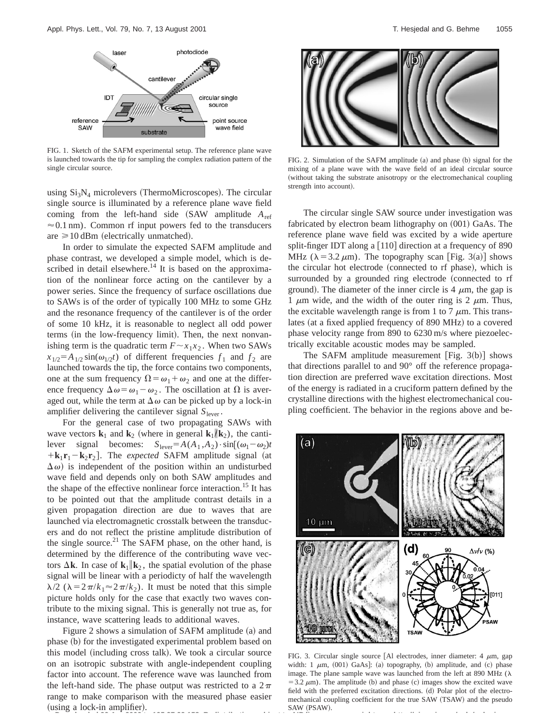

FIG. 1. Sketch of the SAFM experimental setup. The reference plane wave is launched towards the tip for sampling the complex radiation pattern of the single circular source.

using  $Si<sub>3</sub>N<sub>4</sub>$  microlevers (ThermoMicroscopes). The circular single source is illuminated by a reference plane wave field coming from the left-hand side  $(SAW)$  amplitude  $A_{ref}$  $\approx 0.1$  nm). Common rf input powers fed to the transducers are  $\geq 10$  dBm (electrically unmatched).

In order to simulate the expected SAFM amplitude and phase contrast, we developed a simple model, which is described in detail elsewhere.<sup>14</sup> It is based on the approximation of the nonlinear force acting on the cantilever by a power series. Since the frequency of surface oscillations due to SAWs is of the order of typically 100 MHz to some GHz and the resonance frequency of the cantilever is of the order of some 10 kHz, it is reasonable to neglect all odd power terms (in the low-frequency limit). Then, the next nonvanishing term is the quadratic term  $F \sim x_1 x_2$ . When two SAWs  $x_{1/2} = A_{1/2} \sin(\omega_{1/2}t)$  of different frequencies  $f_1$  and  $f_2$  are launched towards the tip, the force contains two components, one at the sum frequency  $\Omega = \omega_1 + \omega_2$  and one at the difference frequency  $\Delta \omega = \omega_1 - \omega_2$ . The oscillation at  $\Omega$  is averaged out, while the term at  $\Delta \omega$  can be picked up by a lock-in amplifier delivering the cantilever signal  $S_{\text{lever}}$ .

For the general case of two propagating SAWs with wave vectors  $\mathbf{k}_1$  and  $\mathbf{k}_2$  (where in general  $\mathbf{k}_1 / \mathbf{k}_2$ ), the cantilever signal becomes:  $S_{\text{lever}} = A(A_1, A_2) \cdot \sin[(\omega_1 - \omega_2)t]$  $+{\bf k}_1{\bf r}_1-{\bf k}_2{\bf r}_2$ . The *expected* SAFM amplitude signal (at  $(\Delta \omega)$  is independent of the position within an undisturbed wave field and depends only on both SAW amplitudes and the shape of the effective nonlinear force interaction.<sup>15</sup> It has to be pointed out that the amplitude contrast details in a given propagation direction are due to waves that are launched via electromagnetic crosstalk between the transducers and do not reflect the pristine amplitude distribution of the single source.<sup>21</sup> The SAFM phase, on the other hand, is determined by the difference of the contributing wave vectors  $\Delta$ **k**. In case of **k**<sub>1</sub>||**k**<sub>2</sub>, the spatial evolution of the phase signal will be linear with a periodicty of half the wavelength  $\lambda/2$  ( $\lambda = 2\pi/k_1 \approx 2\pi/k_2$ ). It must be noted that this simple picture holds only for the case that exactly two waves contribute to the mixing signal. This is generally not true as, for instance, wave scattering leads to additional waves.

Figure 2 shows a simulation of SAFM amplitude  $(a)$  and phase (b) for the investigated experimental problem based on this model (including cross talk). We took a circular source on an isotropic substrate with angle-independent coupling factor into account. The reference wave was launched from the left-hand side. The phase output was restricted to a  $2\pi$ range to make comparison with the measured phase easier  $(using a lock-in amplifier).$ **Downloaded 22 Apr 2002 to 195.37.92.158. Redistribution subject to AIP license or copyright, see http://ojps.aip.org/aplo/aplcr.jsp**



FIG. 2. Simulation of the SAFM amplitude (a) and phase (b) signal for the mixing of a plane wave with the wave field of an ideal circular source (without taking the substrate anisotropy or the electromechanical coupling strength into account).

The circular single SAW source under investigation was fabricated by electron beam lithography on  $(001)$  GaAs. The reference plane wave field was excited by a wide aperture split-finger IDT along a  $[110]$  direction at a frequency of 890 MHz ( $\lambda$ =3.2  $\mu$ m). The topography scan [Fig. 3(a)] shows the circular hot electrode (connected to rf phase), which is surrounded by a grounded ring electrode (connected to rf ground). The diameter of the inner circle is 4  $\mu$ m, the gap is 1  $\mu$ m wide, and the width of the outer ring is 2  $\mu$ m. Thus, the excitable wavelength range is from 1 to 7  $\mu$ m. This translates (at a fixed applied frequency of 890 MHz) to a covered phase velocity range from 890 to 6230 m/s where piezoelectrically excitable acoustic modes may be sampled.

The SAFM amplitude measurement [Fig.  $3(b)$ ] shows that directions parallel to and 90° off the reference propagation direction are preferred wave excitation directions. Most of the energy is radiated in a cruciform pattern defined by the crystalline directions with the highest electromechanical coupling coefficient. The behavior in the regions above and be-



FIG. 3. Circular single source [Al electrodes, inner diameter:  $4 \mu m$ , gap width: 1  $\mu$ m, (001) GaAs]: (a) topography, (b) amplitude, and (c) phase image. The plane sample wave was launched from the left at 890 MHz  $(\lambda)$  $=$  3.2  $\mu$ m). The amplitude (b) and phase (c) images show the excited wave field with the preferred excitation directions. (d) Polar plot of the electromechanical coupling coefficient for the true SAW (TSAW) and the pseudo SAW (PSAW).